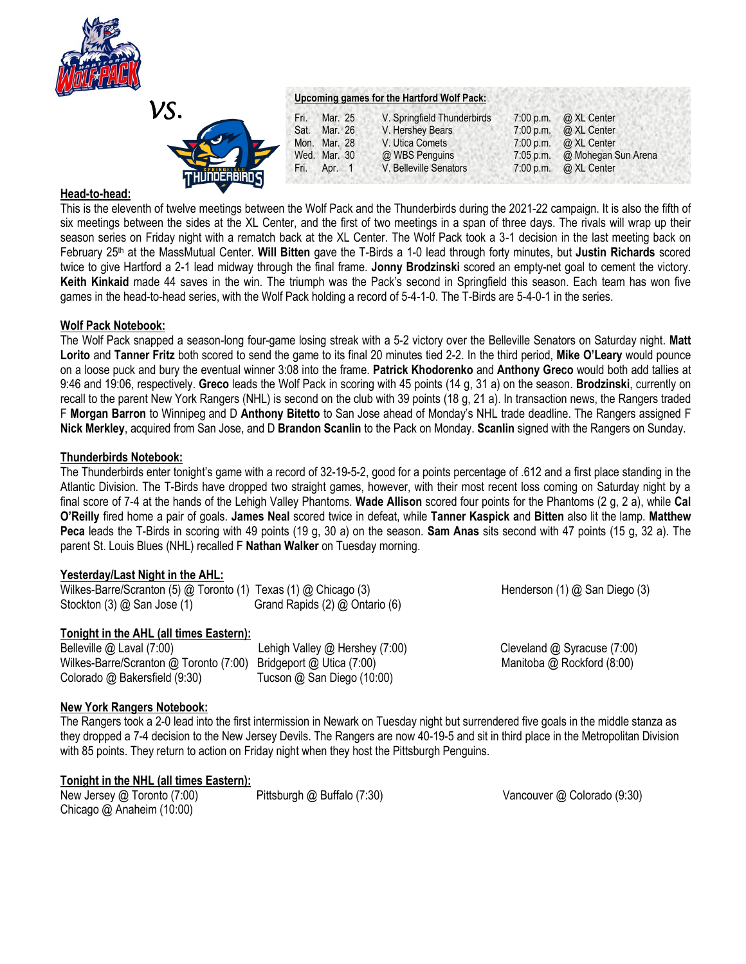



## **Head-to-head:**

This is the eleventh of twelve meetings between the Wolf Pack and the Thunderbirds during the 2021-22 campaign. It is also the fifth of six meetings between the sides at the XL Center, and the first of two meetings in a span of three days. The rivals will wrap up their season series on Friday night with a rematch back at the XL Center. The Wolf Pack took a 3-1 decision in the last meeting back on February 25th at the MassMutual Center. **Will Bitten** gave the T-Birds a 1-0 lead through forty minutes, but **Justin Richards** scored twice to give Hartford a 2-1 lead midway through the final frame. **Jonny Brodzinski** scored an empty-net goal to cement the victory. **Keith Kinkaid** made 44 saves in the win. The triumph was the Pack's second in Springfield this season. Each team has won five games in the head-to-head series, with the Wolf Pack holding a record of 5-4-1-0. The T-Birds are 5-4-0-1 in the series.

## **Wolf Pack Notebook:**

The Wolf Pack snapped a season-long four-game losing streak with a 5-2 victory over the Belleville Senators on Saturday night. **Matt Lorito** and **Tanner Fritz** both scored to send the game to its final 20 minutes tied 2-2. In the third period, **Mike O'Leary** would pounce on a loose puck and bury the eventual winner 3:08 into the frame. **Patrick Khodorenko** and **Anthony Greco** would both add tallies at 9:46 and 19:06, respectively. **Greco** leads the Wolf Pack in scoring with 45 points (14 g, 31 a) on the season. **Brodzinski**, currently on recall to the parent New York Rangers (NHL) is second on the club with 39 points (18 g, 21 a). In transaction news, the Rangers traded F **Morgan Barron** to Winnipeg and D **Anthony Bitetto** to San Jose ahead of Monday's NHL trade deadline. The Rangers assigned F **Nick Merkley**, acquired from San Jose, and D **Brandon Scanlin** to the Pack on Monday. **Scanlin** signed with the Rangers on Sunday.

## **Thunderbirds Notebook:**

The Thunderbirds enter tonight's game with a record of 32-19-5-2, good for a points percentage of .612 and a first place standing in the Atlantic Division. The T-Birds have dropped two straight games, however, with their most recent loss coming on Saturday night by a final score of 7-4 at the hands of the Lehigh Valley Phantoms. **Wade Allison** scored four points for the Phantoms (2 g, 2 a), while **Cal O'Reilly** fired home a pair of goals. **James Neal** scored twice in defeat, while **Tanner Kaspick a**nd **Bitten** also lit the lamp. **Matthew Peca** leads the T-Birds in scoring with 49 points (19 g, 30 a) on the season. **Sam Anas** sits second with 47 points (15 g, 32 a). The parent St. Louis Blues (NHL) recalled F **Nathan Walker** on Tuesday morning.

# **Yesterday/Last Night in the AHL:**

Wilkes-Barre/Scranton (5) @ Toronto (1) Texas (1) @ Chicago (3) Henderson (1) @ San Diego (3) Stockton (3) @ San Jose (1) Grand Rapids (2) @ Ontario (6)

# **Tonight in the AHL (all times Eastern):**

Belleville @ Laval (7:00) Lehigh Valley @ Hershey (7:00) Cleveland @ Syracuse (7:00) Wilkes-Barre/Scranton @ Toronto (7:00) Bridgeport @ Utica (7:00) Manitoba @ Rockford (8:00) Colorado @ Bakersfield (9:30) Tucson @ San Diego (10:00)

# **New York Rangers Notebook:**

The Rangers took a 2-0 lead into the first intermission in Newark on Tuesday night but surrendered five goals in the middle stanza as they dropped a 7-4 decision to the New Jersey Devils. The Rangers are now 40-19-5 and sit in third place in the Metropolitan Division with 85 points. They return to action on Friday night when they host the Pittsburgh Penguins.

# **Tonight in the NHL (all times Eastern):**

New Jersey @ Toronto (7:00)Pittsburgh @ Buffalo (7:30) Vancouver @ Colorado (9:30) Chicago @ Anaheim (10:00)